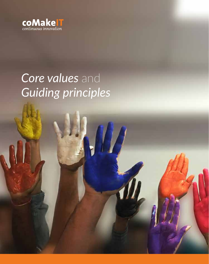

# *Core values* and *Guiding principles*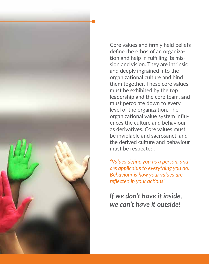

Core values and firmly held beliefs define the ethos of an organization and help in fulfilling its mission and vision. They are intrinsic and deeply ingrained into the organizational culture and bind them together. These core values must be exhibited by the top leadership and the core team, and must percolate down to every level of the organization. The organizational value system influences the culture and behaviour as derivatives. Core values must be inviolable and sacrosanct, and the derived culture and behaviour must be respected.

*"Values define you as a person, and are applicable to everything you do. Behaviour is how your values are reflected in your actions"*

# *If we don't have it inside, we can't have it outside!*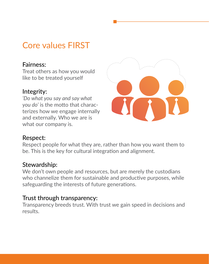# Core values FIRST

## Fairness:

Treat others as how you would like to be treated yourself

## Integrity:

*'Do what you say and say what you do'* is the motto that characterizes how we engage internally and externally. Who we are is what our company is.



## Respect:

Respect people for what they are, rather than how you want them to be. This is the key for cultural integration and alignment.

## Stewardship:

We don't own people and resources, but are merely the custodians who channelize them for sustainable and productive purposes, while safeguarding the interests of future generations.

# Trust through transparency:

Transparency breeds trust. With trust we gain speed in decisions and results.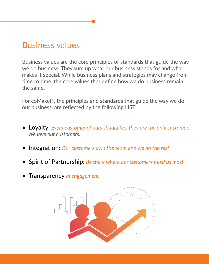# Business values

Business values are the core principles or standards that guide the way we do business. They sum up what our business stands for and what makes it special. While business plans and strategies may change from time to time, the core values that define how we do business remain the same.

For coMakeIT, the principles and standards that guide the way we do our business, are reflected by the following LIST:

- Loyalty: *Every customer of ours should feel they are the only customer. We love our customers.*
- Integration: *Our customers own the team and we do the rest*
- Spirit of Partnership: *Be there where our customers need us most*
- Transparency *in engagement*

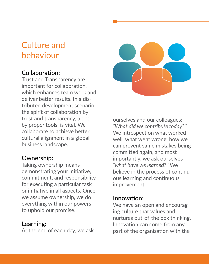# Culture and behaviour

# Collaboration:

Trust and Transparency are important for collaboration, which enhances team work and deliver better results. In a distributed development scenario, the spirit of collaboration by trust and transparency, aided by proper tools, is vital. We collaborate to achieve better cultural alignment in a global business landscape.

# Ownership:

Taking ownership means demonstrating your initiative, commitment, and responsibility for executing a particular task or initiative in all aspects. Once we assume ownership, we do everything within our powers to uphold our promise.

## Learning:

At the end of each day, we ask



ourselves and our colleagues: *"What did we contribute today?''* We introspect on what worked well, what went wrong, how we can prevent same mistakes being committed again, and most importantly, we ask ourselves *"what have we learned?''* We believe in the process of continuous learning and continuous improvement.

# Innovation:

We have an open and encouraging culture that values and nurtures out-of-the box thinking. Innovation can come from any part of the organization with the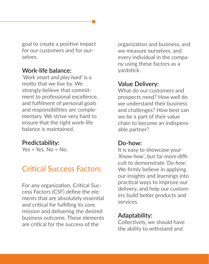goal to create a positive impact for our customers and for ourselves.

#### Work-life balance:

*'Work smart and play hard'* is a motto that we live by. We strongly believe that commitment to professional excellence, and fulfilment of personal goals and responsibilities are complementary. We strive very hard to ensure that the right work-life balance is maintained.

#### Predictability:

 $Yes = Yes$ .  $No = No$ .

# Critical Success Factors

For any organization, Critical Success Factors (CSF) define the elements that are absolutely essential and critical for fulfilling its core mission and delivering the desired business outcome. These elements are critical for the success of the

organization and business, and we measure ourselves, and every individual in the company using these factors as a yardstick.

## Value Delivery:

What do our customers and prospects need? How well do we understand their business and challenges? How best can we be a part of their value chain to become an indispensable partner?

#### Do-how:

It is easy to showcase your *'Know-how'*, but far more difficult to demonstrate *'Do-how'.* We firmly believe in applying our insights and learnings into practical ways to improve our delivery, and help our customers build better products and services.

## Adaptability:

Collectively, we should have the ability to withstand and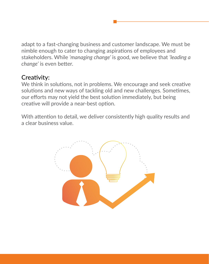adapt to a fast-changing business and customer landscape. We must be nimble enough to cater to changing aspirations of employees and stakeholders. While *'managing change'* is good, we believe that *'leading a change'* is even better.

#### Creativity:

We think in solutions, not in problems. We encourage and seek creative solutions and new ways of tackling old and new challenges. Sometimes, our efforts may not yield the best solution immediately, but being creative will provide a near-best option.

With attention to detail, we deliver consistently high quality results and a clear business value.